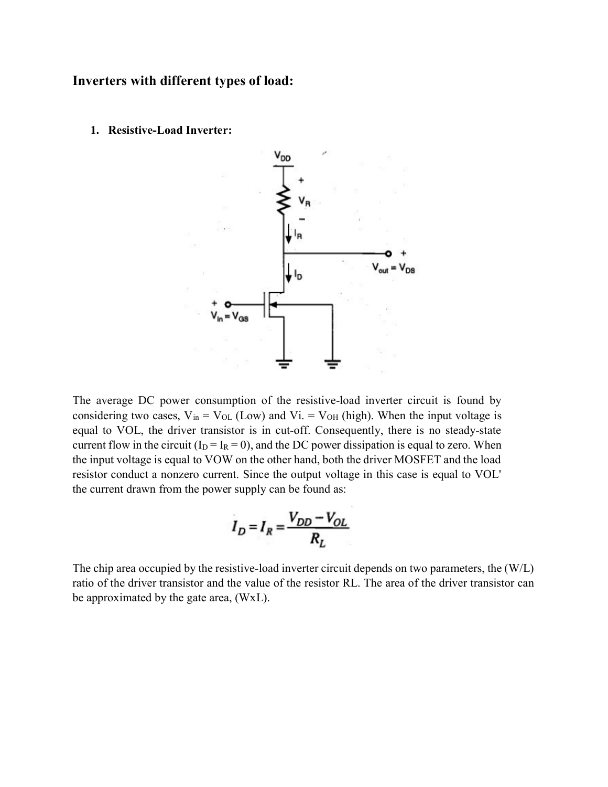## Inverters with different types of load:

1. Resistive-Load Inverter:



The average DC power consumption of the resistive-load inverter circuit is found by considering two cases,  $V_{in} = V_{OL}$  (Low) and Vi. =  $V_{OH}$  (high). When the input voltage is equal to VOL, the driver transistor is in cut-off. Consequently, there is no steady-state current flow in the circuit ( $I_D = I_R = 0$ ), and the DC power dissipation is equal to zero. When the input voltage is equal to VOW on the other hand, both the driver MOSFET and the load resistor conduct a nonzero current. Since the output voltage in this case is equal to VOL' the current drawn from the power supply can be found as:

$$
I_D = I_R = \frac{V_{DD} - V_{OL}}{R_L}
$$

The chip area occupied by the resistive-load inverter circuit depends on two parameters, the (W/L) ratio of the driver transistor and the value of the resistor RL. The area of the driver transistor can be approximated by the gate area, (WxL).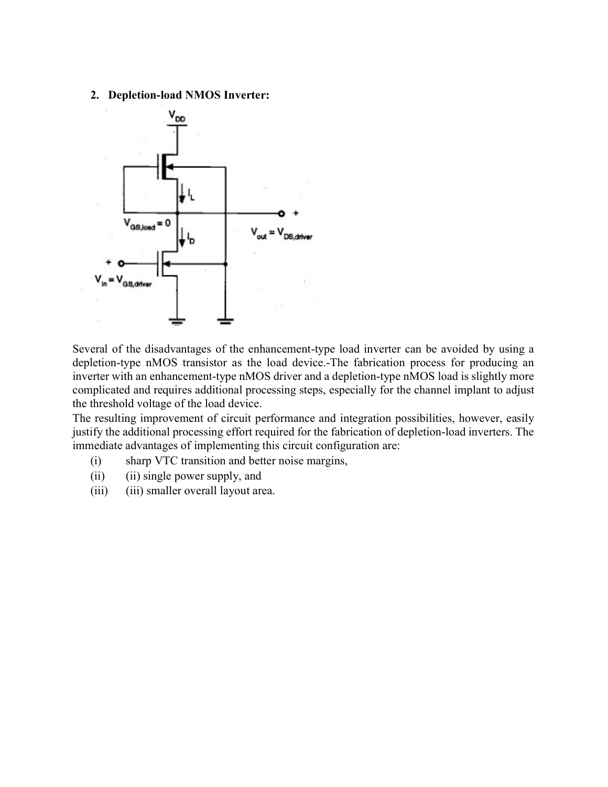## 2. Depletion-load NMOS Inverter:



Several of the disadvantages of the enhancement-type load inverter can be avoided by using a depletion-type nMOS transistor as the load device.-The fabrication process for producing an inverter with an enhancement-type nMOS driver and a depletion-type nMOS load is slightly more complicated and requires additional processing steps, especially for the channel implant to adjust the threshold voltage of the load device.

The resulting improvement of circuit performance and integration possibilities, however, easily justify the additional processing effort required for the fabrication of depletion-load inverters. The immediate advantages of implementing this circuit configuration are:

- (i) sharp VTC transition and better noise margins,
- (ii) (ii) single power supply, and
- (iii) (iii) smaller overall layout area.